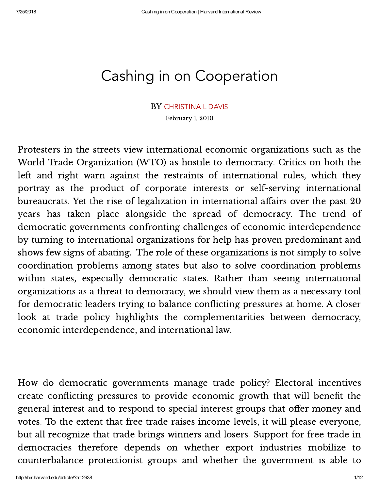# Cashing in on Cooperation

#### BY [CHRISTINA L DAVIS](http://hir.harvard.edu/archive/?s=Christina%20L%20Davis)

February 1, 2010

Protesters in the streets view international economic organizations such as the World Trade Organization (WTO) as hostile to democracy. Critics on both the left and right warn against the restraints of international rules, which they portray as the product of corporate interests or self-serving international bureaucrats. Yet the rise of legalization in international affairs over the past 20 years has taken place alongside the spread of democracy. The trend of democratic governments confronting challenges of economic interdependence by turning to international organizations for help has proven predominant and shows few signs of abating. The role of these organizations is not simply to solve coordination problems among states but also to solve coordination problems within states, especially democratic states. Rather than seeing international organizations as a threat to democracy, we should view them as a necessary tool for democratic leaders trying to balance conflicting pressures at home. A closer look at trade policy highlights the complementarities between democracy, economic interdependence, and international law.

How do democratic governments manage trade policy? Electoral incentives create conflicting pressures to provide economic growth that will benefit the general interest and to respond to special interest groups that offer money and votes. To the extent that free trade raises income levels, it will please everyone, but all recognize that trade brings winners and losers. Support for free trade in democracies therefore depends on whether export industries mobilize to counterbalance protectionist groups and whether the government is able to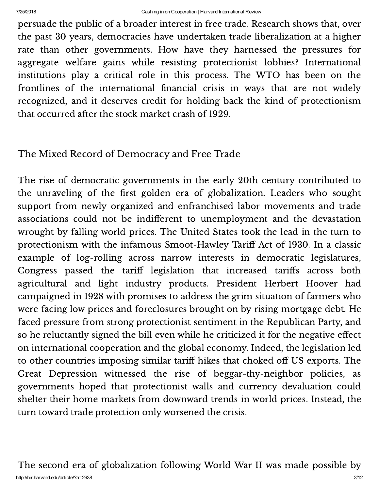persuade the public of a broader interest in free trade. Research shows that, over the past 30 years, democracies have undertaken trade liberalization at a higher rate than other governments. How have they harnessed the pressures for aggregate welfare gains while resisting protectionist lobbies? International institutions play a critical role in this process. The WTO has been on the frontlines of the international financial crisis in ways that are not widely recognized, and it deserves credit for holding back the kind of protectionism that occurred after the stock market crash of 1929.

#### The Mixed Record of Democracy and Free Trade

The rise of democratic governments in the early 20th century contributed to the unraveling of the first golden era of globalization. Leaders who sought support from newly organized and enfranchised labor movements and trade associations could not be indifferent to unemployment and the devastation wrought by falling world prices. The United States took the lead in the turn to protectionism with the infamous Smoot-Hawley Tariff Act of 1930. In a classic example of log-rolling across narrow interests in democratic legislatures, Congress passed the tariff legislation that increased tariffs across both agricultural and light industry products. President Herbert Hoover had campaigned in 1928 with promises to address the grim situation of farmers who were facing low prices and foreclosures brought on by rising mortgage debt. He faced pressure from strong protectionist sentiment in the Republican Party, and so he reluctantly signed the bill even while he criticized it for the negative effect on international cooperation and the global economy. Indeed, the legislation led to other countries imposing similar tariff hikes that choked off US exports. The Great Depression witnessed the rise of beggar-thy-neighbor policies, as governments hoped that protectionist walls and currency devaluation could shelter their home markets from downward trends in world prices. Instead, the turn toward trade protection only worsened the crisis.

http://hir.harvard.edu/article/?a=2638 2/12 The second era of globalization following World War II was made possible by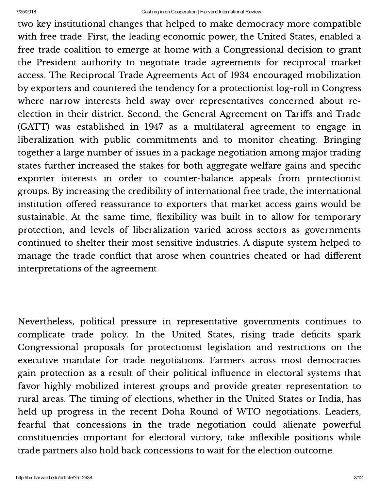two key institutional changes that helped to make democracy more compatible with free trade. First, the leading economic power, the United States, enabled a free trade coalition to emerge at home with a Congressional decision to grant the President authority to negotiate trade agreements for reciprocal market access. The Reciprocal Trade Agreements Act of 1934 encouraged mobilization by exporters and countered the tendency for a protectionist log-roll in Congress where narrow interests held sway over representatives concerned about reelection in their district. Second, the General Agreement on Tariffs and Trade (GATT) was established in 1947 as a multilateral agreement to engage in liberalization with public commitments and to monitor cheating. Bringing together a large number of issues in a package negotiation among major trading states further increased the stakes for both aggregate welfare gains and specific exporter interests in order to counter-balance appeals from protectionist groups. By increasing the credibility of international free trade, the international institution offered reassurance to exporters that market access gains would be sustainable. At the same time, flexibility was built in to allow for temporary protection, and levels of liberalization varied across sectors as governments continued to shelter their most sensitive industries. A dispute system helped to manage the trade conflict that arose when countries cheated or had different interpretations of the agreement.

Nevertheless, political pressure in representative governments continues to complicate trade policy. In the United States, rising trade deficits spark Congressional proposals for protectionist legislation and restrictions on the executive mandate for trade negotiations. Farmers across most democracies gain protection as a result of their political influence in electoral systems that favor highly mobilized interest groups and provide greater representation to rural areas. The timing of elections, whether in the United States or India, has held up progress in the recent Doha Round of WTO negotiations. Leaders, fearful that concessions in the trade negotiation could alienate powerful constituencies important for electoral victory, take inflexible positions while trade partners also hold back concessions to wait for the election outcome.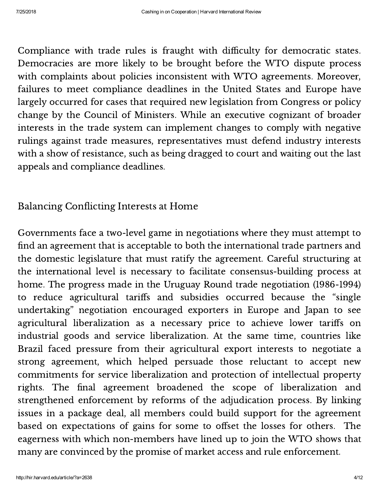Compliance with trade rules is fraught with difficulty for democratic states. Democracies are more likely to be brought before the WTO dispute process with complaints about policies inconsistent with WTO agreements. Moreover, failures to meet compliance deadlines in the United States and Europe have largely occurred for cases that required new legislation from Congress or policy change by the Council of Ministers. While an executive cognizant of broader interests in the trade system can implement changes to comply with negative rulings against trade measures, representatives must defend industry interests with a show of resistance, such as being dragged to court and waiting out the last appeals and compliance deadlines.

### Balancing Conflicting Interests at Home

Governments face a two-level game in negotiations where they must attempt to find an agreement that is acceptable to both the international trade partners and the domestic legislature that must ratify the agreement. Careful structuring at the international level is necessary to facilitate consensus-building process at home. The progress made in the Uruguay Round trade negotiation (1986-1994) to reduce agricultural tariffs and subsidies occurred because the "single undertaking" negotiation encouraged exporters in Europe and Japan to see agricultural liberalization as a necessary price to achieve lower tariffs on industrial goods and service liberalization. At the same time, countries like Brazil faced pressure from their agricultural export interests to negotiate a strong agreement, which helped persuade those reluctant to accept new commitments for service liberalization and protection of intellectual property rights. The final agreement broadened the scope of liberalization and strengthened enforcement by reforms of the adjudication process. By linking issues in a package deal, all members could build support for the agreement based on expectations of gains for some to offset the losses for others. The eagerness with which non-members have lined up to join the WTO shows that many are convinced by the promise of market access and rule enforcement.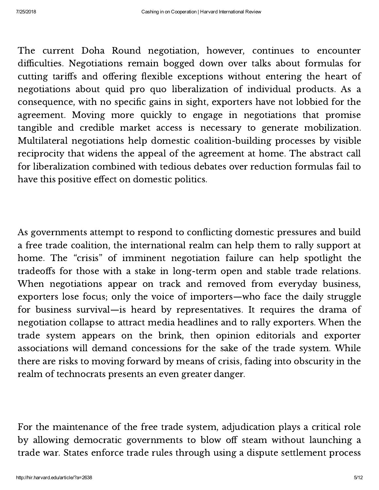The current Doha Round negotiation, however, continues to encounter difficulties. Negotiations remain bogged down over talks about formulas for cutting tariffs and offering flexible exceptions without entering the heart of negotiations about quid pro quo liberalization of individual products. As a consequence, with no specific gains in sight, exporters have not lobbied for the agreement. Moving more quickly to engage in negotiations that promise tangible and credible market access is necessary to generate mobilization. Multilateral negotiations help domestic coalition-building processes by visible reciprocity that widens the appeal of the agreement at home. The abstract call for liberalization combined with tedious debates over reduction formulas fail to have this positive effect on domestic politics.

As governments attempt to respond to conflicting domestic pressures and build a free trade coalition, the international realm can help them to rally support at home. The "crisis" of imminent negotiation failure can help spotlight the tradeoffs for those with a stake in long-term open and stable trade relations. When negotiations appear on track and removed from everyday business, exporters lose focus; only the voice of importers—who face the daily struggle for business survival—is heard by representatives. It requires the drama of negotiation collapse to attract media headlines and to rally exporters. When the trade system appears on the brink, then opinion editorials and exporter associations will demand concessions for the sake of the trade system. While there are risks to moving forward by means of crisis, fading into obscurity in the realm of technocrats presents an even greater danger.

For the maintenance of the free trade system, adjudication plays a critical role by allowing democratic governments to blow off steam without launching a trade war. States enforce trade rules through using a dispute settlement process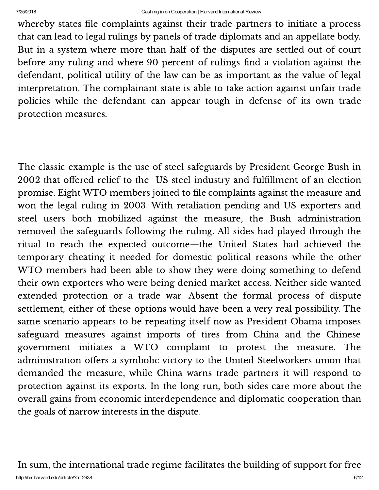whereby states file complaints against their trade partners to initiate a process that can lead to legal rulings by panels of trade diplomats and an appellate body. But in a system where more than half of the disputes are settled out of court before any ruling and where 90 percent of rulings find a violation against the defendant, political utility of the law can be as important as the value of legal interpretation. The complainant state is able to take action against unfair trade policies while the defendant can appear tough in defense of its own trade protection measures.

The classic example is the use of steel safeguards by President George Bush in 2002 that offered relief to the US steel industry and fulfillment of an election promise. Eight WTO members joined to file complaints against the measure and won the legal ruling in 2003. With retaliation pending and US exporters and steel users both mobilized against the measure, the Bush administration removed the safeguards following the ruling. All sides had played through the ritual to reach the expected outcome—the United States had achieved the temporary cheating it needed for domestic political reasons while the other WTO members had been able to show they were doing something to defend their own exporters who were being denied market access. Neither side wanted extended protection or a trade war. Absent the formal process of dispute settlement, either of these options would have been a very real possibility. The same scenario appears to be repeating itself now as President Obama imposes safeguard measures against imports of tires from China and the Chinese government initiates a WTO complaint to protest the measure. The administration offers a symbolic victory to the United Steelworkers union that demanded the measure, while China warns trade partners it will respond to protection against its exports. In the long run, both sides care more about the overall gains from economic interdependence and diplomatic cooperation than the goals of narrow interests in the dispute.

http://hir.harvard.edu/article/?a=2638 6/12 In sum, the international trade regime facilitates the building of support for free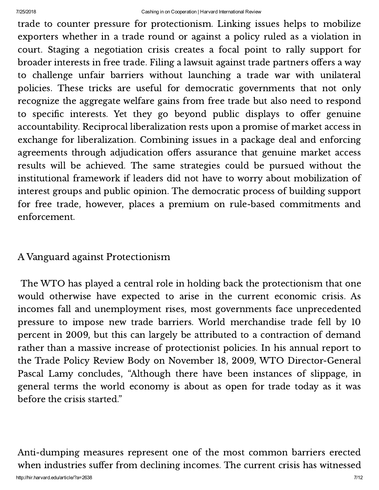trade to counter pressure for protectionism. Linking issues helps to mobilize exporters whether in a trade round or against a policy ruled as a violation in court. Staging a negotiation crisis creates a focal point to rally support for broader interests in free trade. Filing a lawsuit against trade partners offers a way to challenge unfair barriers without launching a trade war with unilateral policies. These tricks are useful for democratic governments that not only recognize the aggregate welfare gains from free trade but also need to respond to specific interests. Yet they go beyond public displays to offer genuine accountability. Reciprocal liberalization rests upon a promise of market access in exchange for liberalization. Combining issues in a package deal and enforcing agreements through adjudication offers assurance that genuine market access results will be achieved. The same strategies could be pursued without the institutional framework if leaders did not have to worry about mobilization of interest groups and public opinion. The democratic process of building support for free trade, however, places a premium on rule-based commitments and enforcement.

#### A Vanguard against Protectionism

The WTO has played a central role in holding back the protectionism that one would otherwise have expected to arise in the current economic crisis. As incomes fall and unemployment rises, most governments face unprecedented pressure to impose new trade barriers. World merchandise trade fell by 10 percent in 2009, but this can largely be attributed to a contraction of demand rather than a massive increase of protectionist policies. In his annual report to the Trade Policy Review Body on November 18, 2009, WTO Director-General Pascal Lamy concludes, "Although there have been instances of slippage, in general terms the world economy is about as open for trade today as it was before the crisis started."

Anti-dumping measures represent one of the most common barriers erected when industries suffer from declining incomes. The current crisis has witnessed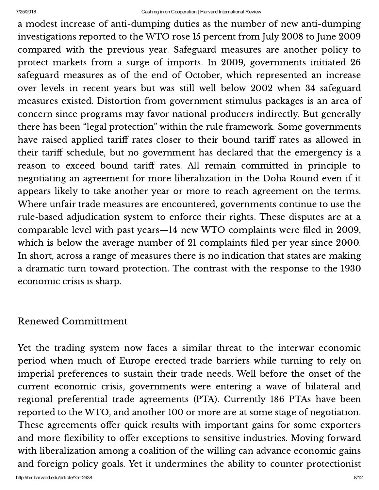a modest increase of anti-dumping duties as the number of new anti-dumping investigations reported to the WTO rose 15 percent from July 2008 to June 2009 compared with the previous year. Safeguard measures are another policy to protect markets from a surge of imports. In 2009, governments initiated 26 safeguard measures as of the end of October, which represented an increase over levels in recent years but was still well below 2002 when 34 safeguard measures existed. Distortion from government stimulus packages is an area of concern since programs may favor national producers indirectly. But generally there has been "legal protection" within the rule framework. Some governments have raised applied tariff rates closer to their bound tariff rates as allowed in their tariff schedule, but no government has declared that the emergency is a reason to exceed bound tariff rates. All remain committed in principle to negotiating an agreement for more liberalization in the Doha Round even if it appears likely to take another year or more to reach agreement on the terms. Where unfair trade measures are encountered, governments continue to use the rule-based adjudication system to enforce their rights. These disputes are at a comparable level with past years—14 new WTO complaints were filed in 2009, which is below the average number of 21 complaints filed per year since 2000. In short, across a range of measures there is no indication that states are making a dramatic turn toward protection. The contrast with the response to the 1930 economic crisis is sharp.

#### Renewed Committment

Yet the trading system now faces a similar threat to the interwar economic period when much of Europe erected trade barriers while turning to rely on imperial preferences to sustain their trade needs. Well before the onset of the current economic crisis, governments were entering a wave of bilateral and regional preferential trade agreements (PTA). Currently 186 PTAs have been reported to the WTO, and another 100 or more are at some stage of negotiation. These agreements offer quick results with important gains for some exporters and more flexibility to offer exceptions to sensitive industries. Moving forward with liberalization among a coalition of the willing can advance economic gains and foreign policy goals. Yet it undermines the ability to counter protectionist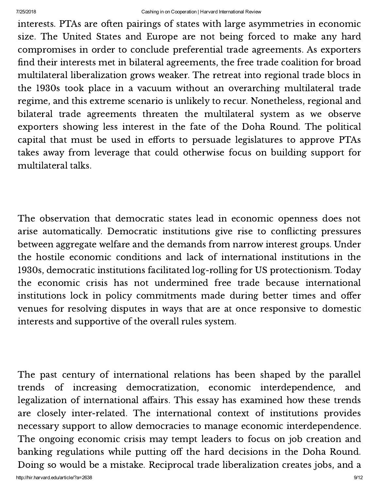interests. PTAs are often pairings of states with large asymmetries in economic size. The United States and Europe are not being forced to make any hard compromises in order to conclude preferential trade agreements. As exporters find their interests met in bilateral agreements, the free trade coalition for broad multilateral liberalization grows weaker. The retreat into regional trade blocs in the 1930s took place in a vacuum without an overarching multilateral trade regime, and this extreme scenario is unlikely to recur. Nonetheless, regional and bilateral trade agreements threaten the multilateral system as we observe exporters showing less interest in the fate of the Doha Round. The political capital that must be used in efforts to persuade legislatures to approve PTAs takes away from leverage that could otherwise focus on building support for multilateral talks.

The observation that democratic states lead in economic openness does not arise automatically. Democratic institutions give rise to conflicting pressures between aggregate welfare and the demands from narrow interest groups. Under the hostile economic conditions and lack of international institutions in the 1930s, democratic institutions facilitated log-rolling for US protectionism. Today the economic crisis has not undermined free trade because international institutions lock in policy commitments made during better times and offer venues for resolving disputes in ways that are at once responsive to domestic interests and supportive of the overall rules system.

The past century of international relations has been shaped by the parallel trends of increasing democratization, economic interdependence, and legalization of international affairs. This essay has examined how these trends are closely inter-related. The international context of institutions provides necessary support to allow democracies to manage economic interdependence. The ongoing economic crisis may tempt leaders to focus on job creation and banking regulations while putting off the hard decisions in the Doha Round. Doing so would be a mistake. Reciprocal trade liberalization creates jobs, and a